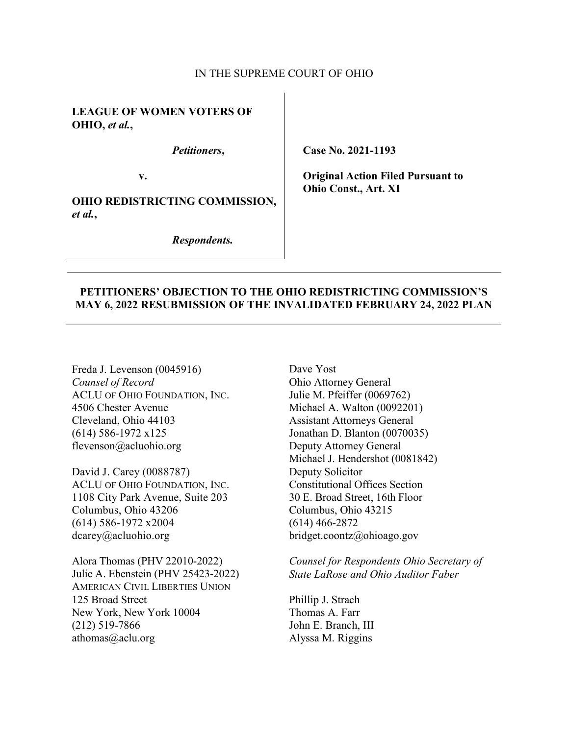## IN THE SUPREME COURT OF OHIO

## LEAGUE OF WOMEN VOTERS OF OHIO, et al.,

Petitioners,

Case No. 2021-1193

Ohio Const., Art. XI

Original Action Filed Pursuant to

v.

OHIO REDISTRICTING COMMISSION, et al.,

Respondents.

## PETITIONERS' OBJECTION TO THE OHIO REDISTRICTING COMMISSION'S MAY 6, 2022 RESUBMISSION OF THE INVALIDATED FEBRUARY 24, 2022 PLAN

Freda J. Levenson (0045916) Counsel of Record ACLU OF OHIO FOUNDATION, INC. 4506 Chester Avenue Cleveland, Ohio 44103 (614) 586-1972 x125 flevenson@acluohio.org

David J. Carey (0088787) ACLU OF OHIO FOUNDATION, INC. 1108 City Park Avenue, Suite 203 Columbus, Ohio 43206 (614) 586-1972 x2004 dcarey@acluohio.org

Alora Thomas (PHV 22010-2022) Julie A. Ebenstein (PHV 25423-2022) AMERICAN CIVIL LIBERTIES UNION 125 Broad Street New York, New York 10004 (212) 519-7866 athomas@aclu.org

Dave Yost Ohio Attorney General Julie M. Pfeiffer (0069762) Michael A. Walton (0092201) Assistant Attorneys General Jonathan D. Blanton (0070035) Deputy Attorney General Michael J. Hendershot (0081842) Deputy Solicitor Constitutional Offices Section 30 E. Broad Street, 16th Floor Columbus, Ohio 43215 (614) 466-2872 bridget.coontz@ohioago.gov

Counsel for Respondents Ohio Secretary of State LaRose and Ohio Auditor Faber

Phillip J. Strach Thomas A. Farr John E. Branch, III Alyssa M. Riggins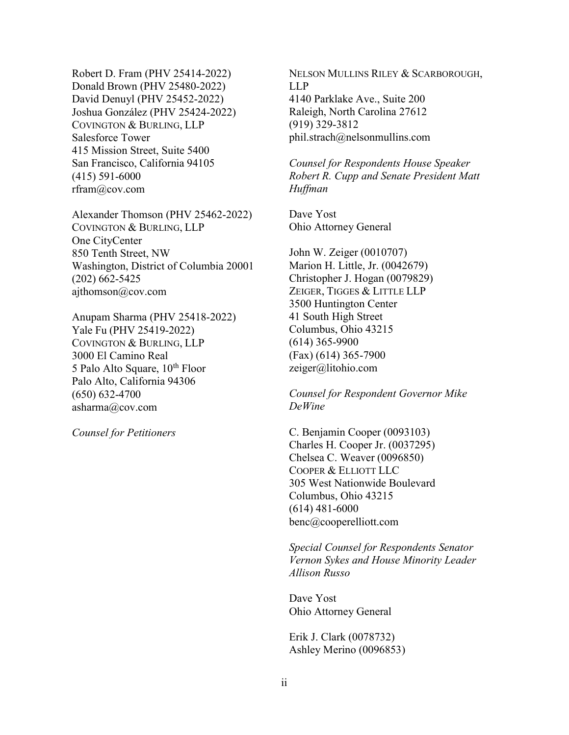Robert D. Fram (PHV 25414-2022) Donald Brown (PHV 25480-2022) David Denuyl (PHV 25452-2022) Joshua González (PHV 25424-2022) COVINGTON & BURLING, LLP Salesforce Tower 415 Mission Street, Suite 5400 San Francisco, California 94105 (415) 591-6000 rfram@cov.com

Alexander Thomson (PHV 25462-2022) COVINGTON & BURLING, LLP One CityCenter 850 Tenth Street, NW Washington, District of Columbia 20001 (202) 662-5425 ajthomson@cov.com

Anupam Sharma (PHV 25418-2022) Yale Fu (PHV 25419-2022) COVINGTON & BURLING, LLP 3000 El Camino Real 5 Palo Alto Square, 10<sup>th</sup> Floor Palo Alto, California 94306 (650) 632-4700 asharma@cov.com

Counsel for Petitioners

NELSON MULLINS RILEY & SCARBOROUGH, LLP 4140 Parklake Ave., Suite 200 Raleigh, North Carolina 27612 (919) 329-3812 phil.strach@nelsonmullins.com

Counsel for Respondents House Speaker Robert R. Cupp and Senate President Matt Huffman

Dave Yost Ohio Attorney General

John W. Zeiger (0010707) Marion H. Little, Jr. (0042679) Christopher J. Hogan (0079829) ZEIGER, TIGGES & LITTLE LLP 3500 Huntington Center 41 South High Street Columbus, Ohio 43215 (614) 365-9900 (Fax) (614) 365-7900 zeiger@litohio.com

Counsel for Respondent Governor Mike DeWine

C. Benjamin Cooper (0093103) Charles H. Cooper Jr. (0037295) Chelsea C. Weaver (0096850) COOPER & ELLIOTT LLC 305 West Nationwide Boulevard Columbus, Ohio 43215 (614) 481-6000 benc@cooperelliott.com

Special Counsel for Respondents Senator Vernon Sykes and House Minority Leader Allison Russo

Dave Yost Ohio Attorney General

Erik J. Clark (0078732) Ashley Merino (0096853)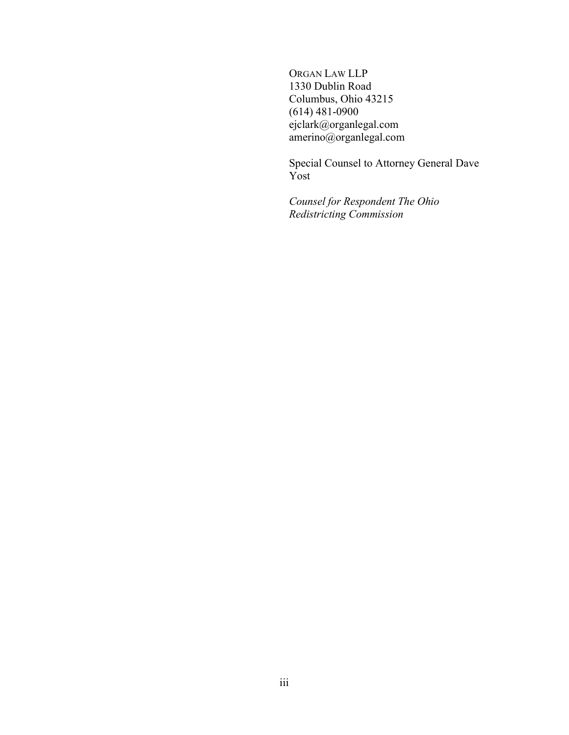ORGAN LAW LLP 1330 Dublin Road Columbus, Ohio 43215 (614) 481-0900 ejclark@organlegal.com amerino@organlegal.com

Special Counsel to Attorney General Dave Yost

Counsel for Respondent The Ohio Redistricting Commission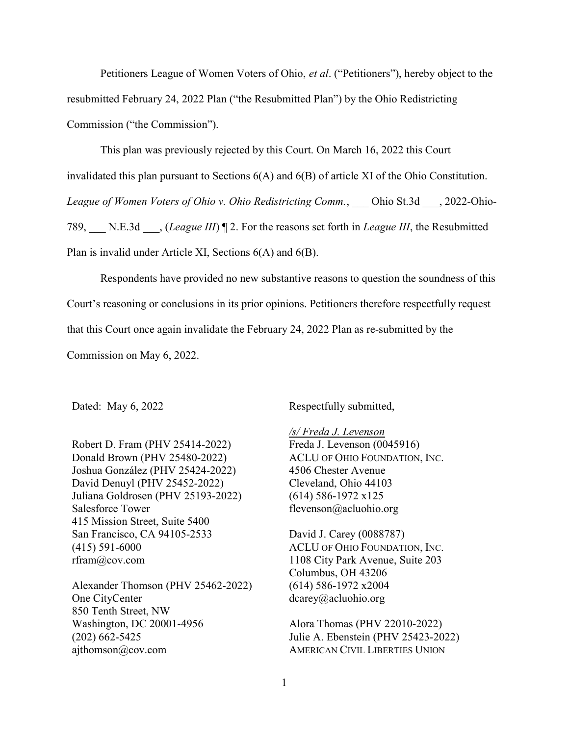Petitioners League of Women Voters of Ohio, et al. ("Petitioners"), hereby object to the resubmitted February 24, 2022 Plan ("the Resubmitted Plan") by the Ohio Redistricting Commission ("the Commission").

 This plan was previously rejected by this Court. On March 16, 2022 this Court invalidated this plan pursuant to Sections 6(A) and 6(B) of article XI of the Ohio Constitution. League of Women Voters of Ohio v. Ohio Redistricting Comm., Chio St.3d , 2022-Ohio-789, N.E.3d  $( League III)$  | 2. For the reasons set forth in *League III*, the Resubmitted Plan is invalid under Article XI, Sections 6(A) and 6(B).

Respondents have provided no new substantive reasons to question the soundness of this Court's reasoning or conclusions in its prior opinions. Petitioners therefore respectfully request that this Court once again invalidate the February 24, 2022 Plan as re-submitted by the Commission on May 6, 2022.

Dated: May 6, 2022

Robert D. Fram (PHV 25414-2022) Donald Brown (PHV 25480-2022) Joshua González (PHV 25424-2022) David Denuyl (PHV 25452-2022) Juliana Goldrosen (PHV 25193-2022) Salesforce Tower 415 Mission Street, Suite 5400 San Francisco, CA 94105-2533 (415) 591-6000 rfram@cov.com

Alexander Thomson (PHV 25462-2022) One CityCenter 850 Tenth Street, NW Washington, DC 20001-4956 (202) 662-5425 ajthomson@cov.com

Respectfully submitted,

/s/ Freda J. Levenson Freda J. Levenson (0045916) ACLU OF OHIO FOUNDATION, INC. 4506 Chester Avenue Cleveland, Ohio 44103 (614) 586-1972 x125 flevenson@acluohio.org

David J. Carey (0088787) ACLU OF OHIO FOUNDATION, INC. 1108 City Park Avenue, Suite 203 Columbus, OH 43206 (614) 586-1972 x2004 dcarey@acluohio.org

Alora Thomas (PHV 22010-2022) Julie A. Ebenstein (PHV 25423-2022) AMERICAN CIVIL LIBERTIES UNION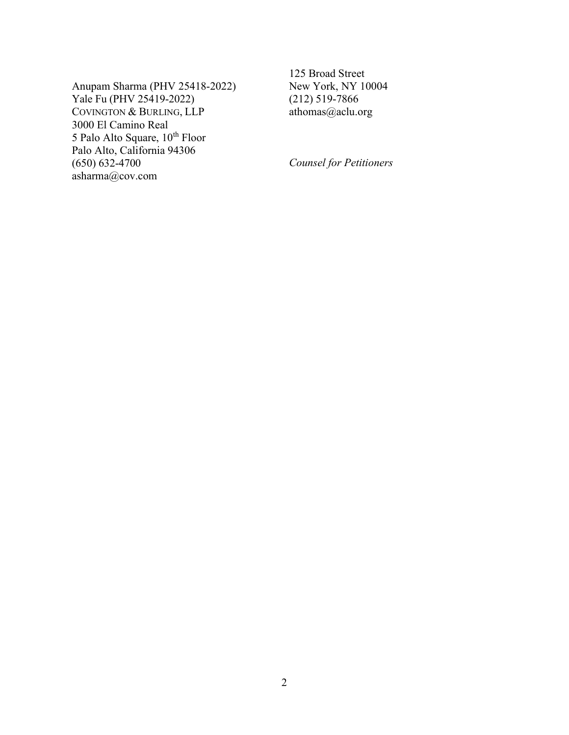Anupam Sharma (PHV 25418-2022) Yale Fu (PHV 25419-2022) COVINGTON & BURLING, LLP 3000 El Camino Real  $5$  Palo Alto Square,  $10^{\rm th}$  Floor Palo Alto, California 94306 (650) 632-4700 asharma@cov.com

125 Broad Street New York, NY 10004 (212) 519-7866 athomas@aclu.org

Counsel for Petitioners